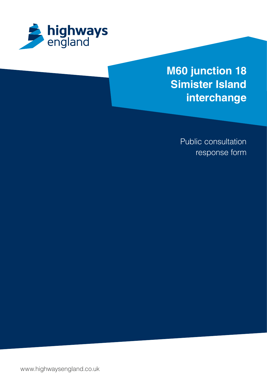

# **M60 junction 18 Simister Island interchange**

Public consultation response form

www.highwaysengland.co.uk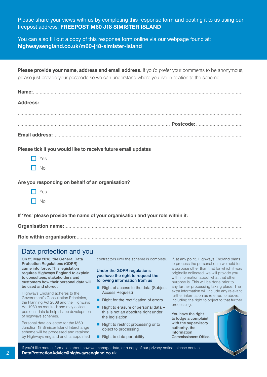Please share your views with us by completing this response form and posting it to us using our freepost address: FREEPOST M60 J18 SIMISTER ISLAND

You can also fill out a copy of this response form online via our webpage found at: highwaysengland.co.uk/m60-j18-simister-island

**Please provide your name, address and email address.** If you'd prefer your comments to be anonymous, please just provide your postcode so we can understand where you live in relation to the scheme.

| . Postcode: |
|-------------|
|             |

**Please tick if you would like to receive future email updates**

- Yes o No
- **Are you responding on behalf of an organisation?**
	- Yes
	- o No

**If 'Yes' please provide the name of your organisation and your role within it:**

**Organisation name:**..................................................................................................................................

**Role within organisation:**.........................................................................................................................

## Data protection and you

On 25 May 2018, the General Data Protection Regulations (GDPR) came into force. This legislation requires Highways England to explain to consultees, stakeholders and customers how their personal data will be used and stored.

Highways England adheres to the Government's Consultation Principles, the Planning Act 2008 and the Highways Act 1980 as required; and may collect personal data to help shape development of highways schemes.

Personal data collected for the M60 Junction 18 Simister Island Interchange scheme will be processed and retained by Highways England and its appointed

### Under the GDPR regulations you have the right to request the following information from us

- Right of access to the data (Subject Access Request)
- $\blacksquare$  Right for the rectification of errors
- $\blacksquare$  Right to erasure of personal data this is not an absolute right under the legislation
- $\blacksquare$  Right to restrict processing or to object to processing
- $\blacksquare$  Right to data portability

contractors until the scheme is complete. If, at any point, Highways England plans to process the personal data we hold for a purpose other than that for which it was originally collected, we will provide you with information about what that other purpose is. This will be done prior to any further processing taking place. The extra information will include any relevant further information as referred to above, including the right to object to that further processing.

> You have the right to lodge a complaint with the supervisory authority, the Information Commissioners Office.



If you'd like more information about how we manage data, or a copy of our privacy notice, please contact DataProtectionAdvice@highwaysengland.co.uk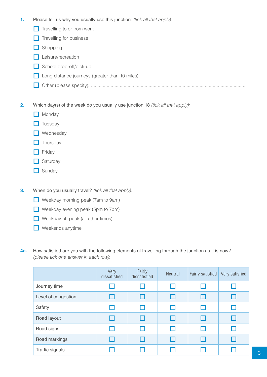- **1.** Please tell us why you usually use this junction: *(tick all that apply):*
	- $\Box$  Travelling to or from work
	- $\Box$  Travelling for business
	- $\Box$  Shopping
	- $\Box$  Leisure/recreation
	- $\Box$  School drop-off/pick-up
	- $\Box$  Long distance journeys (greater than 10 miles)
	- o Other (please specify): .......................................................................................................................
- **2.** Which day(s) of the week do you usually use junction 18 *(tick all that apply):* 
	- $\Box$  Monday
	- $\Box$  Tuesday
	- $\Box$  Wednesday
	- $\Box$  Thursday
	- $\Box$  Friday
	- $\Box$  Saturday
	- $\Box$  Sunday
- **3.** When do you usually travel? *(tick all that apply):* 
	- $\Box$  Weekday morning peak (7am to 9am)
	- $\Box$  Weekday evening peak (5pm to 7pm)
	- $\Box$  Weekday off peak (all other times)
	- $\Box$  Weekends anytime
- **4a.** How satisfied are you with the following elements of travelling through the junction as it is now? *(please tick one answer in each row)*:

|                     | Very<br>dissatisfied | Fairly<br>dissatisfied | Neutral | Fairly satisfied | Very satisfied |
|---------------------|----------------------|------------------------|---------|------------------|----------------|
| Journey time        |                      |                        |         |                  |                |
| Level of congestion |                      |                        |         |                  |                |
| Safety              |                      |                        |         |                  |                |
| Road layout         |                      |                        |         |                  |                |
| Road signs          |                      |                        |         |                  |                |
| Road markings       |                      |                        |         |                  |                |
| Traffic signals     |                      |                        |         |                  |                |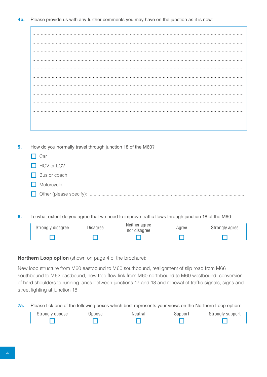**4b.** Please provide us with any further comments you may have on the junction as it is now:

- **5.** How do you normally travel through junction 18 of the M60?
	- $\Box$  Car
	- $\Box$  HGV or LGV
	- $\Box$  Bus or coach
	- $\Box$  Motorcycle
	- o Other (please specify): .......................................................................................................................
- **6.** To what extent do you agree that we need to improve traffic flows through junction 18 of the M60:

| Strongly disagree | <b>Disagree</b> | Neither agree<br>nor disagree | Agree | Strongly agree |
|-------------------|-----------------|-------------------------------|-------|----------------|
|                   |                 |                               |       |                |

## **Northern Loop option** (shown on page 4 of the brochure):

New loop structure from M60 eastbound to M60 southbound, realignment of slip road from M66 southbound to M62 eastbound, new free flow-link from M60 northbound to M60 westbound, conversion of hard shoulders to running lanes between junctions 17 and 18 and renewal of traffic signals, signs and street lighting at junction 18.

**7a.** Please tick one of the following boxes which best represents your views on the Northern Loop option:

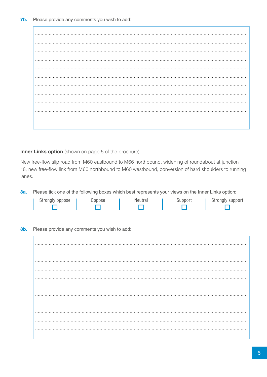**Inner Links option** (shown on page 5 of the brochure):

New free-flow slip road from M60 eastbound to M66 northbound, widening of roundabout at junction 18, new free-flow link from M60 northbound to M60 westbound, conversion of hard shoulders to running lanes.

Please tick one of the following boxes which best represents your views on the Inner Links option: **8a.** 

| Strongly oppose | Jppose | Neutral | Support | Strongly support |
|-----------------|--------|---------|---------|------------------|
|                 |        |         |         |                  |

8b. Please provide any comments you wish to add: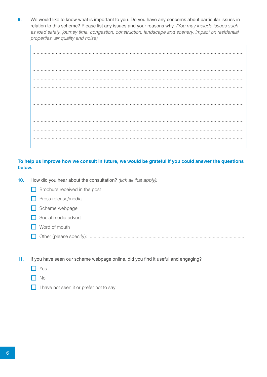9. We would like to know what is important to you. Do you have any concerns about particular issues in relation to this scheme? Please list any issues and your reasons why. (You may include issues such as road safety, journey time, congestion, construction, landscape and scenery, impact on residential properties, air quality and noise)

## To help us improve how we consult in future, we would be grateful if you could answer the questions below.

- $10<sub>1</sub>$ How did you hear about the consultation? (tick all that apply):
	- $\Box$  Brochure received in the post
	- $\Box$  Press release/media
	- $\Box$  Scheme webpage
	- $\Box$  Social media advert
	- $\Box$  Word of mouth
	-
- $11.$ If you have seen our scheme webpage online, did you find it useful and engaging?
	- $\prod$  Yes
	- $\Box$  No
	- $\Box$  I have not seen it or prefer not to say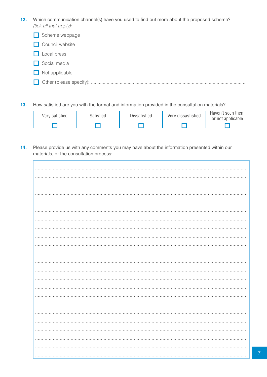| 12. | Which communication channel(s) have you used to find out more about the proposed scheme? |
|-----|------------------------------------------------------------------------------------------|
|     | (tick all that apply):                                                                   |

|     | Scheme webpage                                                                                |
|-----|-----------------------------------------------------------------------------------------------|
|     | Council website                                                                               |
|     | Local press                                                                                   |
|     | Social media                                                                                  |
|     | Not applicable<br>H                                                                           |
|     | H                                                                                             |
|     |                                                                                               |
| 13. | How satisfied are you with the format and information provided in the consultation materials? |

Haven't seen them Very dissastisfied Very satisfied Satisfied Dissatisfied or not applicable  $\Box$  $\Box$  $\Box$ П П

Please provide us with any comments you may have about the information presented within our  $14.$ materials, or the consultation process:

'n

| $\cdots$       |
|----------------|
|                |
|                |
|                |
| .              |
| $\cdots\cdots$ |
|                |
|                |
| .              |
|                |
| $\sim 100$     |
|                |
|                |
| .              |
| .              |
| $\cdots$       |
|                |
| .              |
|                |
| .              |
| 1.1.1.1        |
|                |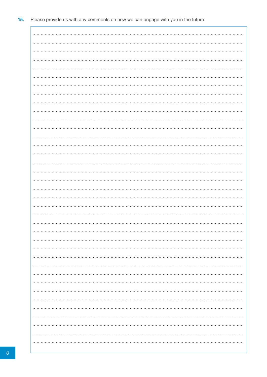Please provide us with any comments on how we can engage with you in the future:  $15.$ 

r

| $\ldots$ |
|----------|
|          |
|          |
|          |
|          |
| $\cdots$ |
|          |
|          |
|          |
|          |
|          |
|          |
|          |
|          |
|          |
|          |
|          |
|          |
|          |
|          |
|          |
|          |
|          |
|          |
|          |
|          |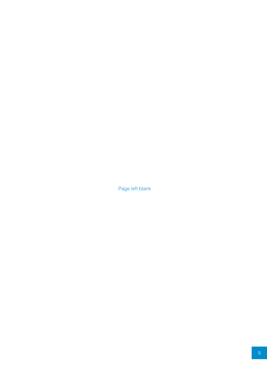Page left blank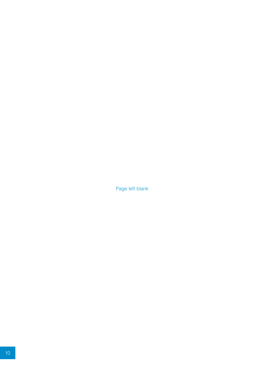Page left blank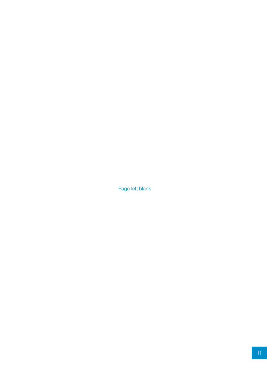Page left blank